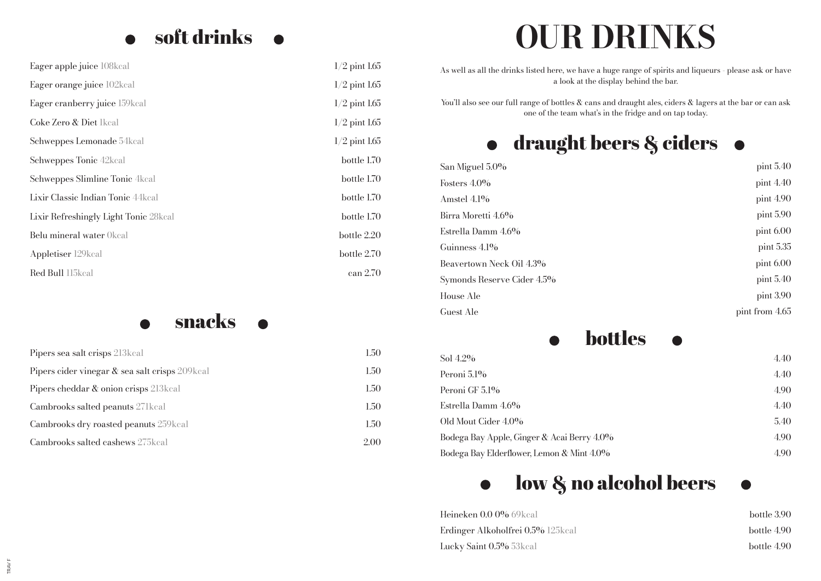### soft drinks  $\bullet$  $\bullet$

| Eager apple juice 108kcal              | $1/2$ pint $1.65$ |
|----------------------------------------|-------------------|
| Eager orange juice 102kcal             | $1/2$ pint $1.65$ |
| Eager cranberry juice 159kcal          | $1/2$ pint $1.65$ |
| Coke Zero & Diet Ikcal                 | $1/2$ pint $1.65$ |
| Schweppes Lemonade 54kcal              | $1/2$ pint $1.65$ |
| Schweppes Tonic 42kcal                 | bottle 1.70       |
| Schweppes Slimline Tonic 4kcal         | bottle 1.70       |
| Lixir Classic Indian Tonic 44 kcal     | bottle 1.70       |
| Lixir Refreshingly Light Tonic 28 kcal | bottle 1.70       |
| Belu mineral water Okcal               | bottle 2.20       |
| Appletiser 129 kcal                    | bottle 2.70       |
| Red Bull 115kcal                       | can 2.70          |

snacks  $\bullet$  $\bullet$ 

| Pipers sea salt crisps 213 kcal                | 1.50 |
|------------------------------------------------|------|
| Pipers cider vinegar & sea salt crisps 209kcal | 1.50 |
| Pipers cheddar & onion crisps 213 kcal         | 1.50 |
| Cambrooks salted peanuts 271 kcal              | 1.50 |
| Cambrooks dry roasted peanuts 259 kcal         | 1.50 |
| Cambrooks salted cashews 275 kcal              | 2.00 |

# **OUR DRINKS**

As well as all the drinks listed here, we have a huge range of spirits and liqueurs - please ask or have a look at the display behind the bar.

You'll also see our full range of bottles & cans and draught ales, ciders & lagers at the bar or can ask one of the team what's in the fridge and on tap today.

### draught beers & ciders  $\bullet$  $\bullet$

| San Miguel 5.0%            | pint $5.40$     |
|----------------------------|-----------------|
| Fosters $4.0\%$            | pint $4.40$     |
| Amstel $4.1\%$             | pint $4.90$     |
| Birra Moretti 4.6%         | $\pi$ pint 5.90 |
| Estrella Damm 4.6%         | $\pi$ pint 6.00 |
| Guinness 4.1%              | pint 5.35       |
| Beavertown Neck Oil 4.3%   | pint 6.00       |
| Symonds Reserve Cider 4.5% | pint $5.40$     |
| House Ale                  | $\pi$ pint 3.90 |
| Guest Ale                  | pint from 4.65  |

### bottles

| Sol $4.2\%$                                | 4.40 |
|--------------------------------------------|------|
| Peroni $5.1\%$                             | 4.40 |
| Peroni GF 5.1%                             | 4.90 |
| Estrella Damm 4.6%                         | 4.40 |
| Old Mout Cider 4.0%                        | 5.40 |
| Bodega Bay Apple, Ginger & Acai Berry 4.0% | 4.90 |
| Bodega Bay Elderflower, Lemon & Mint 4.0%  | 4.90 |
|                                            |      |

#### low & no alcohol beers  $\bullet$  $\bullet$

| <b>Heineken 0.0 0%</b> 69kcal     | bottle 3.90 |
|-----------------------------------|-------------|
| Erdinger Alkoholfrei 0.5% 125kcal | bottle 4.90 |
| <b>Lucky Saint 0.5%</b> 53kcal    | bottle 4.90 |